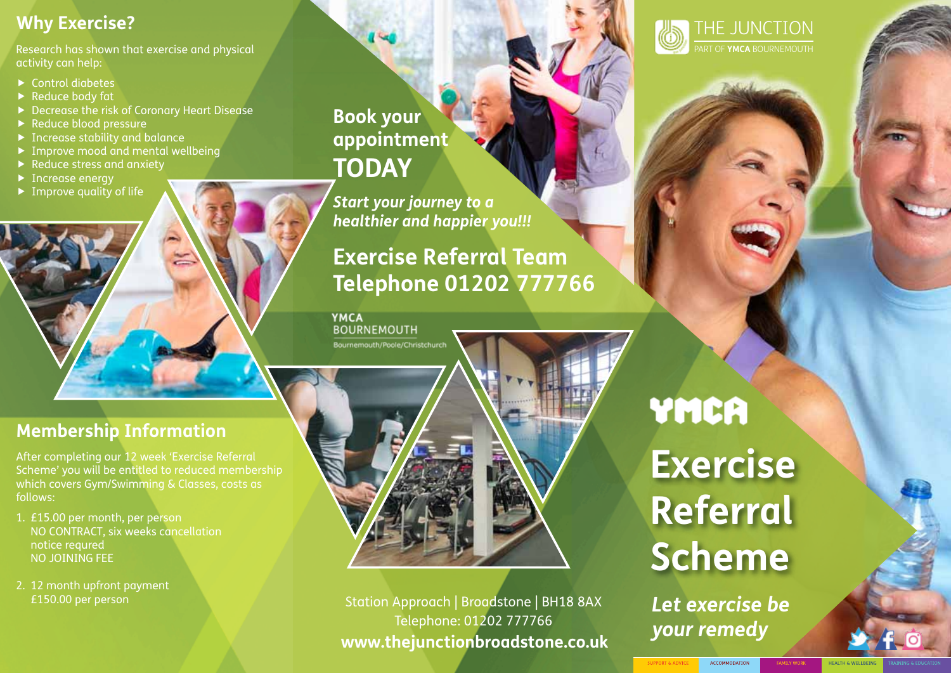## **Why Exercise?**

Research has shown that exercise and physical activity can help:

- $\triangleright$  Control diabetes
- $\blacktriangleright$  Reduce body fat
- ▶ Decrease the risk of Coronary Heart Disease
- Reduce blood pressure
- ▶ Increase stability and balance
- ▶ Improve mood and mental wellbeing
- Reduce stress and anxiety
- ▶ Increase energy
- $\blacktriangleright$  Improve quality of life

**Book your appointment today**

*Start your journey to a healthier and happier you!!!*

# **Exercise Referral Team Telephone 01202 777766**

**YMCA BOURNEMOUTH** Bournemouth/Poole/Christchurch

## **Membership Information**

After completing our 12 week 'Exercise Referral Scheme' you will be entitled to reduced membership which covers Gym/Swimming & Classes, costs as follows:

- 1. £15.00 per month, per person no contract, six weeks cancellation notice requred No joining fee
- 2. 12 month upfront payment £150.00 per person

**www.thejunctionbroadstone.co.uk** Station Approach | Broadstone | BH18 8AX Telephone: 01202 777766

YMCA **Exercise Referral Scheme**

*Let exercise be your remedy*

#### ACCOMMODATION

HEALTH & WELLRE